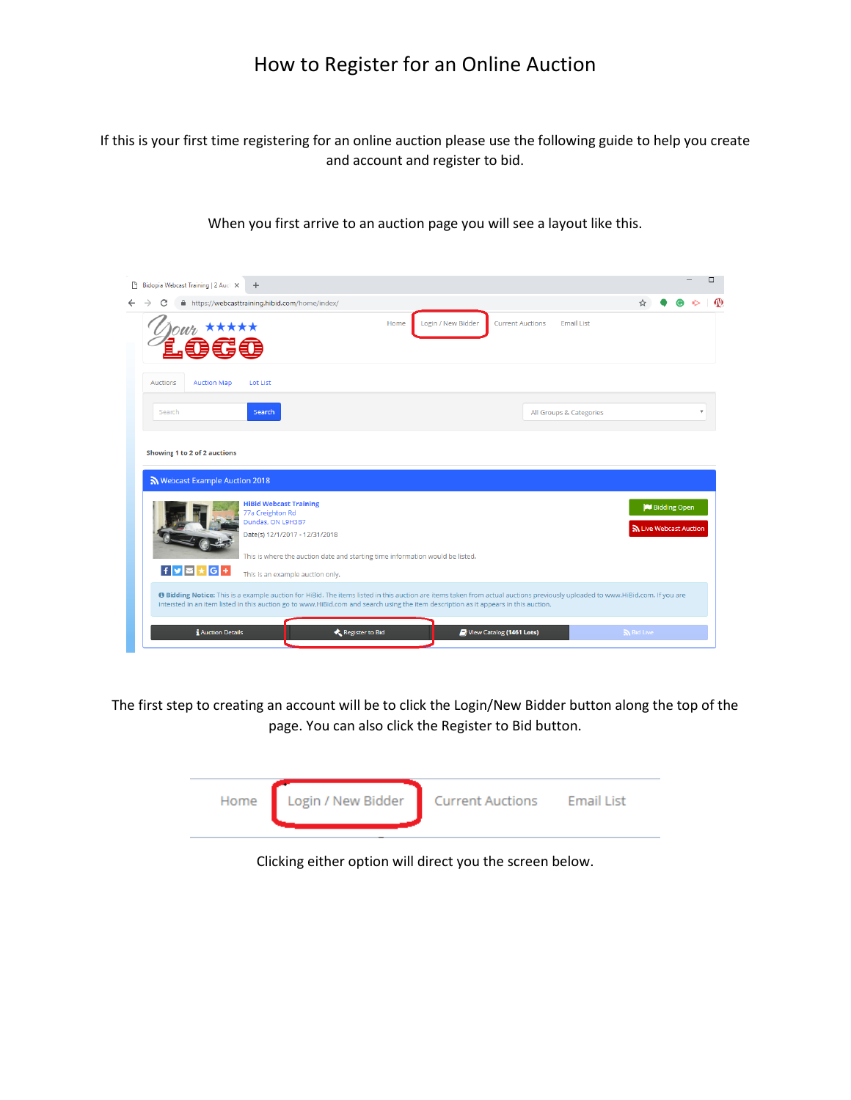If this is your first time registering for an online auction please use the following guide to help you create and account and register to bid.

When you first arrive to an auction page you will see a layout like this.

|                                                                                                                                                                                                                                     | □<br>Bidopia Webcast Training   2 Auct X<br>$+$                                                                                                                                                                                                                                                                                  |                                                                |                                                                            |          |  |  |  |
|-------------------------------------------------------------------------------------------------------------------------------------------------------------------------------------------------------------------------------------|----------------------------------------------------------------------------------------------------------------------------------------------------------------------------------------------------------------------------------------------------------------------------------------------------------------------------------|----------------------------------------------------------------|----------------------------------------------------------------------------|----------|--|--|--|
| $\leftarrow$                                                                                                                                                                                                                        |                                                                                                                                                                                                                                                                                                                                  |                                                                | A https://webcasttraining.hibid.com/home/index/                            |          |  |  |  |
|                                                                                                                                                                                                                                     |                                                                                                                                                                                                                                                                                                                                  | 每年每                                                            | Login / New Bidder<br><b>Current Auctions</b><br><b>Email List</b><br>Home |          |  |  |  |
|                                                                                                                                                                                                                                     | Auctions                                                                                                                                                                                                                                                                                                                         | <b>Auction Map</b>                                             | Lot List                                                                   |          |  |  |  |
|                                                                                                                                                                                                                                     | Search                                                                                                                                                                                                                                                                                                                           |                                                                | Search<br>All Groups & Categories                                          |          |  |  |  |
|                                                                                                                                                                                                                                     |                                                                                                                                                                                                                                                                                                                                  | Showing 1 to 2 of 2 auctions<br>S Webcast Example Auction 2018 |                                                                            |          |  |  |  |
| <b>HiBid Webcast Training</b><br>Bidding Open<br>77a Creighton Rd<br>Dundas, ON L9H3B7<br>h Live Webcast Auction<br>Date(s) 12/1/2017 - 12/31/2018<br>This is where the auction date and starting time information would be listed. |                                                                                                                                                                                                                                                                                                                                  |                                                                |                                                                            |          |  |  |  |
|                                                                                                                                                                                                                                     | $f$ y $z$ $\star$ $G$ +<br>This is an example auction only.                                                                                                                                                                                                                                                                      |                                                                |                                                                            |          |  |  |  |
|                                                                                                                                                                                                                                     | <sup>O</sup> Bidding Notice: This is a example auction for HiBid. The items listed in this auction are items taken from actual auctions previously uploaded to www.HiBid.com. If you are<br>intersted in an item listed in this auction go to www.HiBid.com and search using the item description as it appears in this auction. |                                                                |                                                                            |          |  |  |  |
|                                                                                                                                                                                                                                     |                                                                                                                                                                                                                                                                                                                                  | <b>i</b> Auction Details                                       | Register to Bid<br>View Catalog (1461 Lots)                                | and Live |  |  |  |

The first step to creating an account will be to click the Login/New Bidder button along the top of the page. You can also click the Register to Bid button.

| Home Login / New Bidder Current Auctions Email List |  |
|-----------------------------------------------------|--|
|                                                     |  |

Clicking either option will direct you the screen below.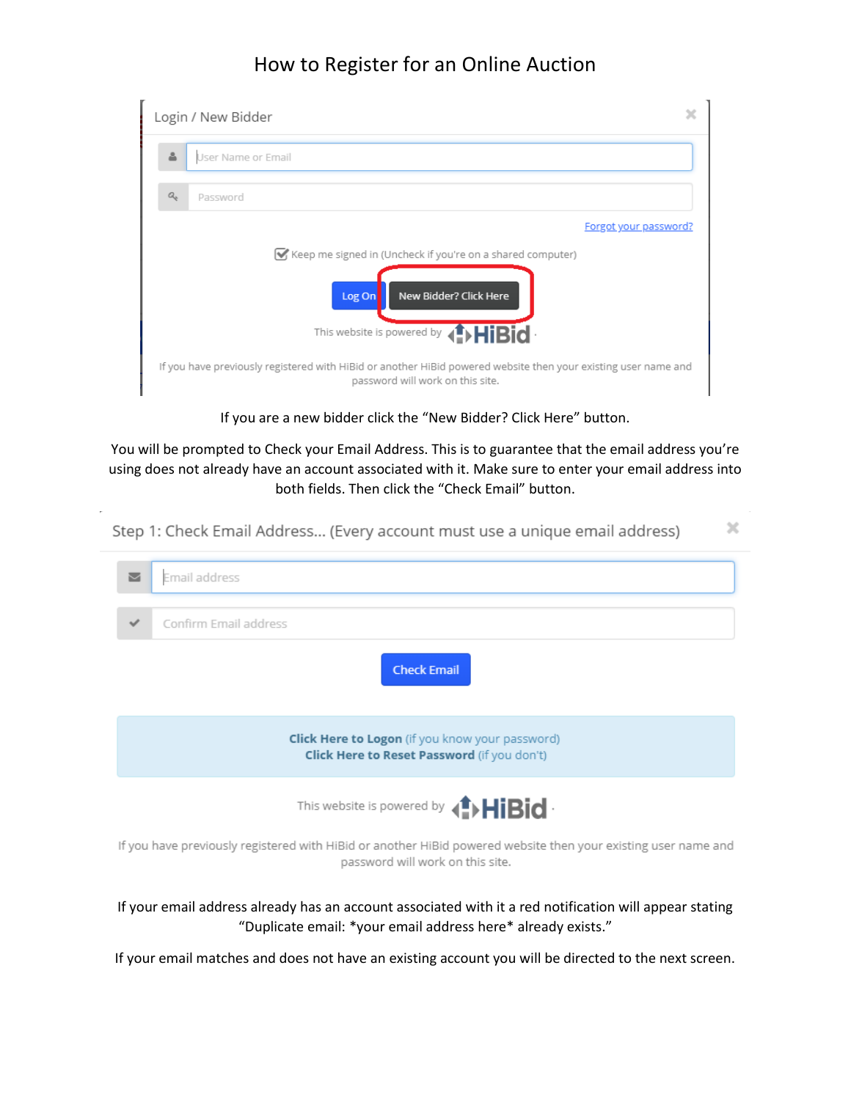|                         | x<br>Login / New Bidder |                                                                                                                                                    |  |  |  |  |
|-------------------------|-------------------------|----------------------------------------------------------------------------------------------------------------------------------------------------|--|--|--|--|
| 흅<br>User Name or Email |                         |                                                                                                                                                    |  |  |  |  |
|                         | $Q_{\mu}$               | Password                                                                                                                                           |  |  |  |  |
|                         |                         | Forgot your password?                                                                                                                              |  |  |  |  |
|                         |                         | Keep me signed in (Uncheck if you're on a shared computer)                                                                                         |  |  |  |  |
|                         |                         | New Bidder? Click Here<br>Log On                                                                                                                   |  |  |  |  |
|                         |                         | This website is powered by <b>(!) HiBid</b>                                                                                                        |  |  |  |  |
|                         |                         | If you have previously registered with HiBid or another HiBid powered website then your existing user name and<br>password will work on this site. |  |  |  |  |

If you are a new bidder click the "New Bidder? Click Here" button.

You will be prompted to Check your Email Address. This is to guarantee that the email address you're using does not already have an account associated with it. Make sure to enter your email address into both fields. Then click the "Check Email" button.

|   | Step 1: Check Email Address (Every account must use a unique email address)                                                        |  |
|---|------------------------------------------------------------------------------------------------------------------------------------|--|
| ◛ | Email address                                                                                                                      |  |
|   | Confirm Email address                                                                                                              |  |
|   | <b>Check Email</b>                                                                                                                 |  |
|   | <b>Click Here to Logon</b> (if you know your password)<br><b>Click Here to Reset Password</b> (if you don't)                       |  |
|   | This website is powered by $\langle \textcolor{red}{\bullet} \rangle \textcolor{red}{\text{H}}\textcolor{red}{\text{B} \text{id}}$ |  |

If you have previously registered with HiBid or another HiBid powered website then your existing user name and password will work on this site.

If your email address already has an account associated with it a red notification will appear stating "Duplicate email: \*your email address here\* already exists."

If your email matches and does not have an existing account you will be directed to the next screen.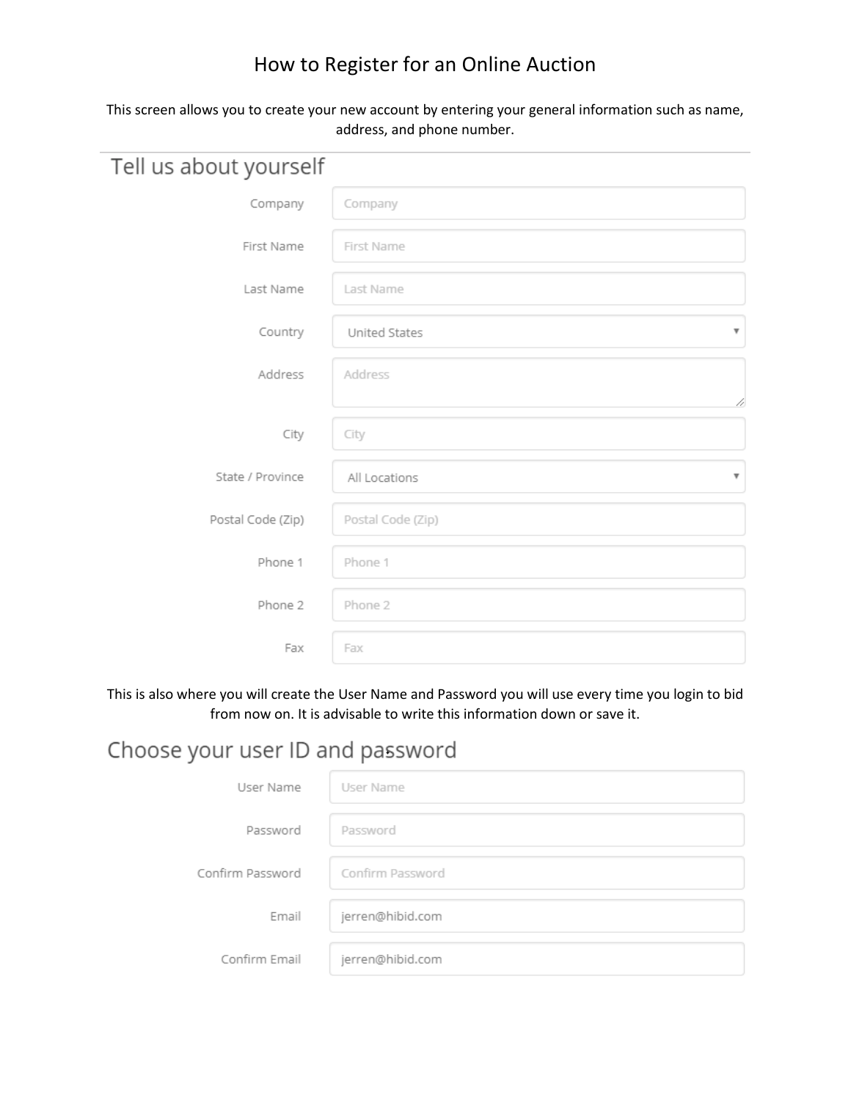#### This screen allows you to create your new account by entering your general information such as name, address, and phone number.

| Tell us about yourself |                                          |
|------------------------|------------------------------------------|
| Company                | Company                                  |
| First Name             | First Name                               |
| Last Name              | Last Name                                |
| Country                | United States<br>$\overline{\mathbf{v}}$ |
| Address                | Address                                  |
|                        | 4                                        |
| City                   | City                                     |
| State / Province       | All Locations<br>$\overline{\mathbf{v}}$ |
| Postal Code (Zip)      | Postal Code (Zip)                        |
| Phone 1                | Phone 1                                  |
| Phone 2                | Phone 2                                  |
| Fax                    | Fax                                      |

This is also where you will create the User Name and Password you will use every time you login to bid from now on. It is advisable to write this information down or save it.

# Choose your user ID and password

| User Name        | User Name        |
|------------------|------------------|
| Password         | Password         |
| Confirm Password | Confirm Password |
| Email            | jerren@hibid.com |
| Confirm Email    | jerren@hibid.com |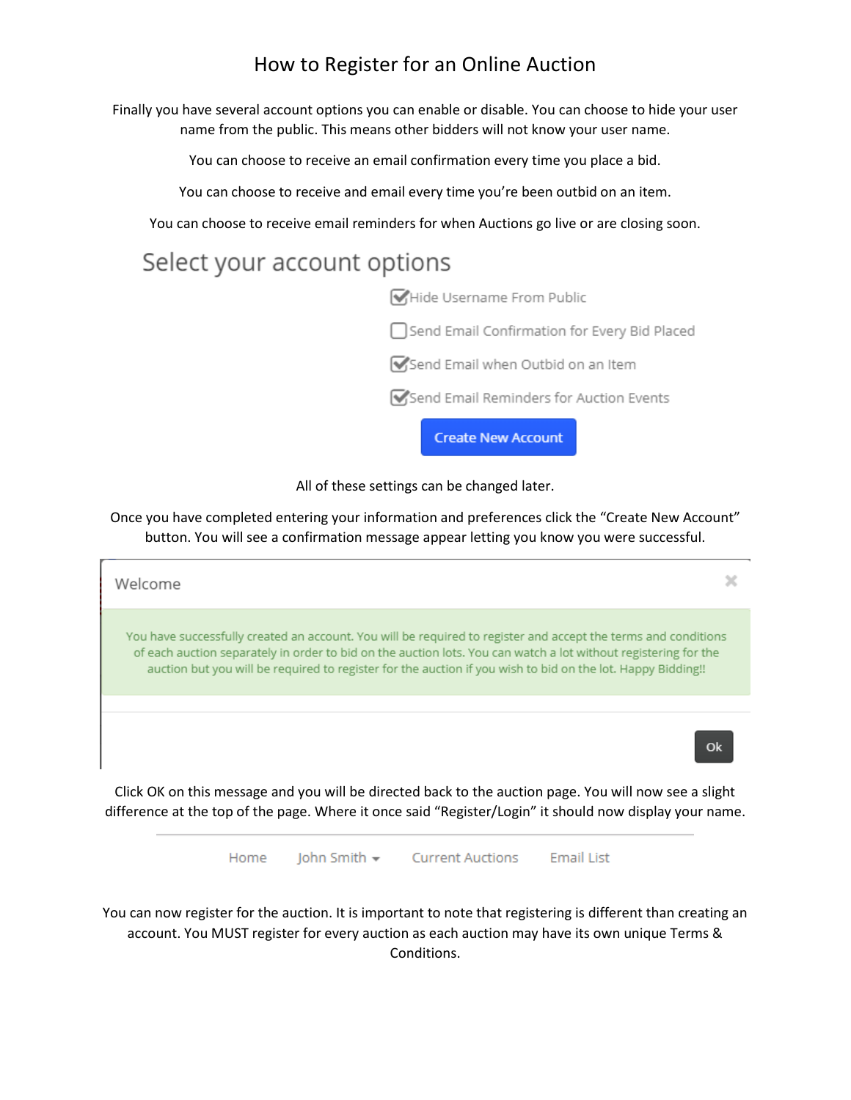Finally you have several account options you can enable or disable. You can choose to hide your user name from the public. This means other bidders will not know your user name.

You can choose to receive an email confirmation every time you place a bid.

You can choose to receive and email every time you're been outbid on an item.

You can choose to receive email reminders for when Auctions go live or are closing soon.

# Select your account options

Hide Username From Public

Send Email Confirmation for Every Bid Placed

Send Email when Outbid on an Item

Send Email Reminders for Auction Events

**Create New Account** 

All of these settings can be changed later.

Once you have completed entering your information and preferences click the "Create New Account" button. You will see a confirmation message appear letting you know you were successful.

| Welcome                                                                                                                                                                                                                                                                                                                                          |  |
|--------------------------------------------------------------------------------------------------------------------------------------------------------------------------------------------------------------------------------------------------------------------------------------------------------------------------------------------------|--|
| You have successfully created an account. You will be required to register and accept the terms and conditions<br>of each auction separately in order to bid on the auction lots. You can watch a lot without registering for the<br>auction but you will be required to register for the auction if you wish to bid on the lot. Happy Bidding!! |  |
|                                                                                                                                                                                                                                                                                                                                                  |  |
|                                                                                                                                                                                                                                                                                                                                                  |  |
| Click OK on this message and you will be directed back to the auction page. You will now see a slight<br>difference at the top of the page. Where it once said "Register/Login" it should now display your name.                                                                                                                                 |  |

Iohn Smith  $\sim$ Home **Current Auctions Email List** 

You can now register for the auction. It is important to note that registering is different than creating an account. You MUST register for every auction as each auction may have its own unique Terms & Conditions.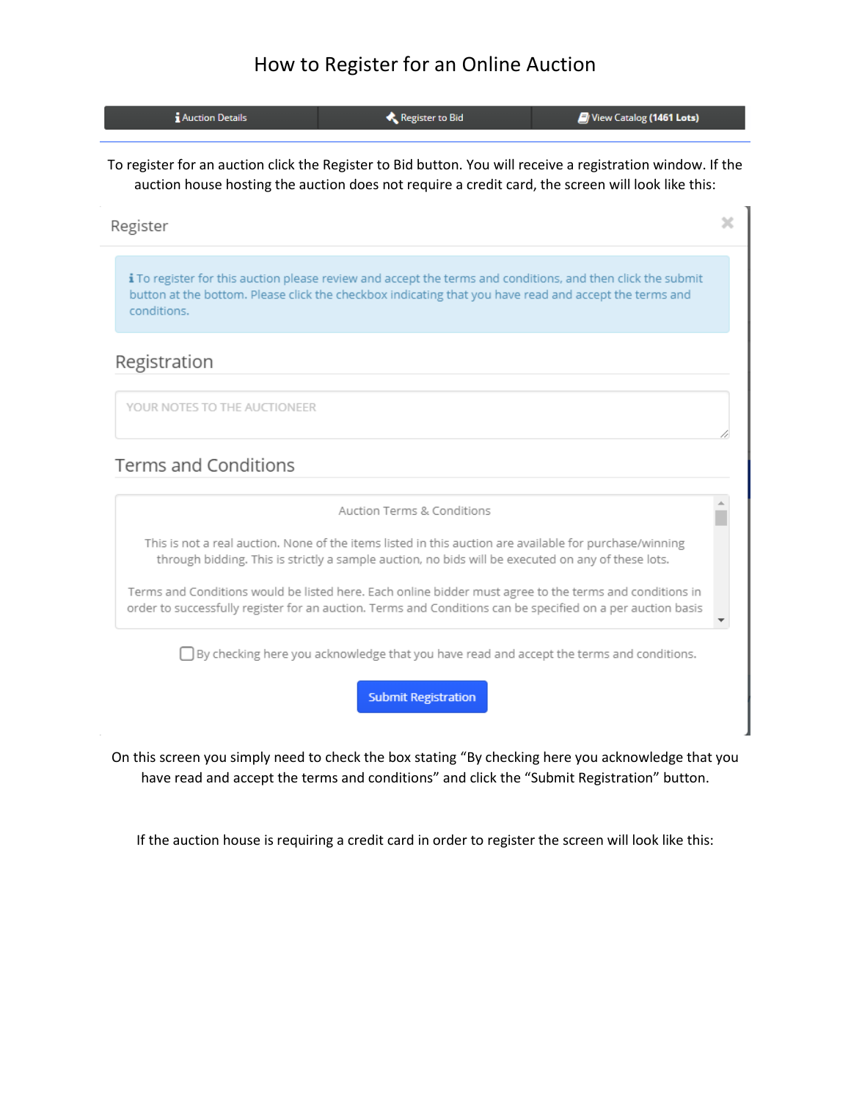| <b>Auction Details</b>                                                                                      | Register to Bid | $\mathcal{F}/$ View Catalog (1461 Lots) |  |  |
|-------------------------------------------------------------------------------------------------------------|-----------------|-----------------------------------------|--|--|
| To register for an auction click the Register to Bid button. You will receive a registration window. If the |                 |                                         |  |  |

auction house hosting the auction does not require a credit card, the screen will look like this:

×

Register

i To register for this auction please review and accept the terms and conditions, and then click the submit button at the bottom. Please click the checkbox indicating that you have read and accept the terms and conditions.

#### Registration

YOUR NOTES TO THE AUCTIONEER

#### **Terms and Conditions**

Auction Terms & Conditions

This is not a real auction. None of the items listed in this auction are available for purchase/winning through bidding. This is strictly a sample auction, no bids will be executed on any of these lots.

Terms and Conditions would be listed here. Each online bidder must agree to the terms and conditions in order to successfully register for an auction. Terms and Conditions can be specified on a per auction basis

□ By checking here you acknowledge that you have read and accept the terms and conditions.

**Submit Registration** 

On this screen you simply need to check the box stating "By checking here you acknowledge that you have read and accept the terms and conditions" and click the "Submit Registration" button.

If the auction house is requiring a credit card in order to register the screen will look like this: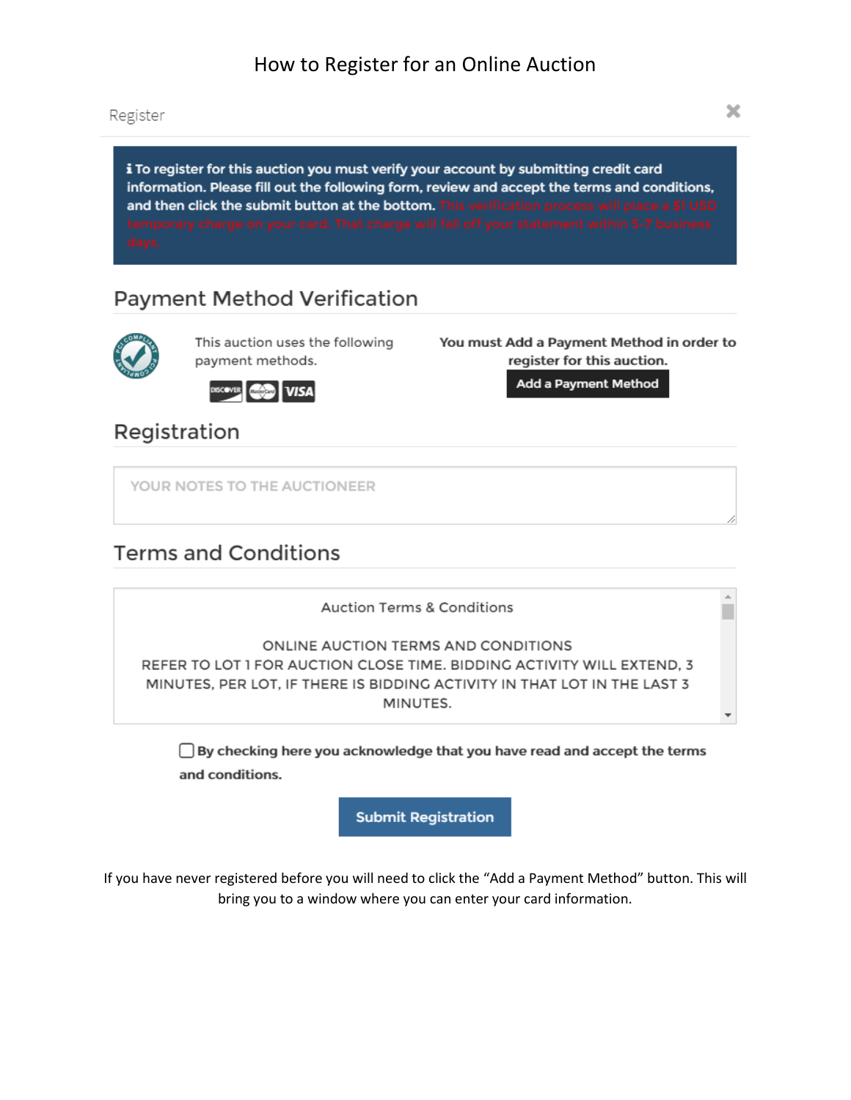Register

i To register for this auction you must verify your account by submitting credit card information. Please fill out the following form, review and accept the terms and conditions, and then click the submit button at the bottom. This verification process will place a \$1 USD

## **Payment Method Verification**



This auction uses the following payment methods.

You must Add a Payment Method in order to register for this auction.

**VISA** 

Add a Payment Method

Registration

YOUR NOTES TO THE AUCTIONEER

## **Terms and Conditions**

**Auction Terms & Conditions** ONLINE AUCTION TERMS AND CONDITIONS REFER TO LOT 1 FOR AUCTION CLOSE TIME. BIDDING ACTIVITY WILL EXTEND, 3 MINUTES, PER LOT, IF THERE IS BIDDING ACTIVITY IN THAT LOT IN THE LAST 3 MINUTES.

 $\Box$  By checking here you acknowledge that you have read and accept the terms and conditions.

**Submit Registration** 

If you have never registered before you will need to click the "Add a Payment Method" button. This will bring you to a window where you can enter your card information.

 $\mathbf{A}$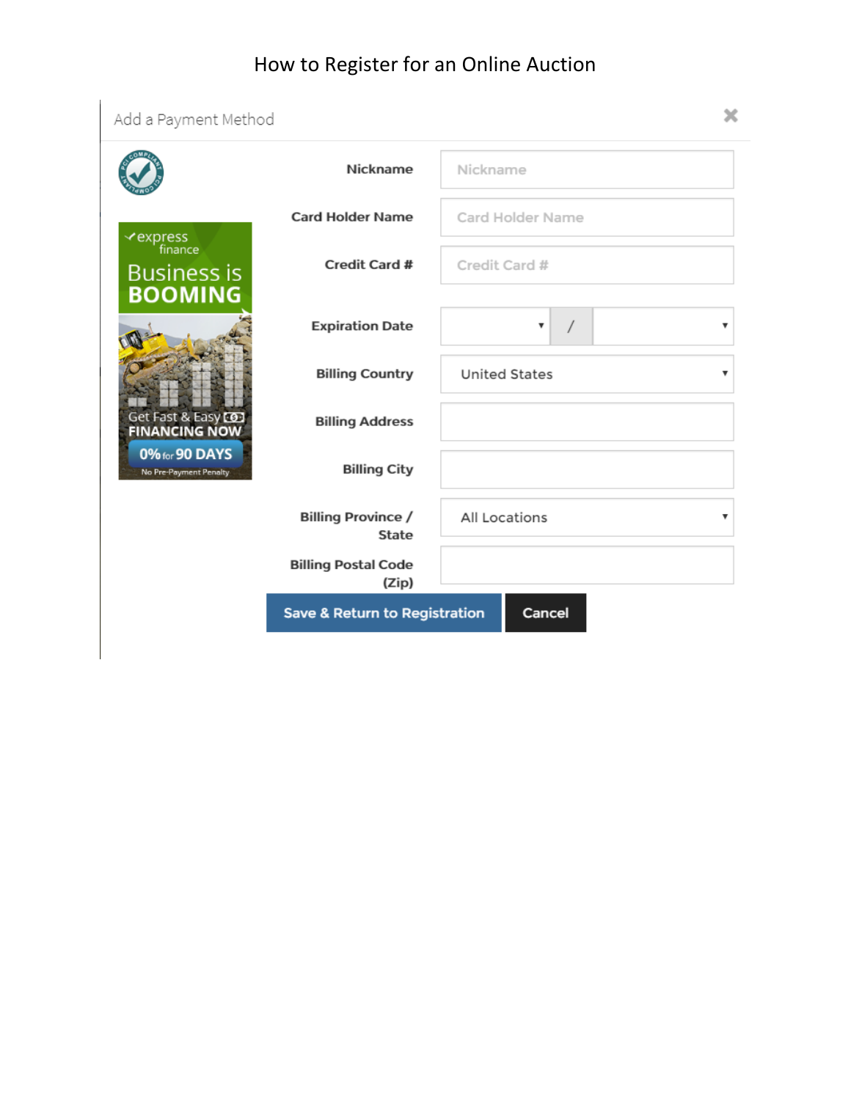| Add a Payment Method                     |                                          |                      |   |
|------------------------------------------|------------------------------------------|----------------------|---|
|                                          | Nickname                                 | Nickname             |   |
| ≺express<br>finance                      | <b>Card Holder Name</b>                  | Card Holder Name     |   |
| <b>Business is</b><br><b>BOOMING</b>     | Credit Card #                            | Credit Card #        |   |
|                                          | <b>Expiration Date</b>                   | v                    |   |
|                                          | <b>Billing Country</b>                   | <b>United States</b> | v |
| Get Fast & Easy CO2<br>FINANCING NOW     | <b>Billing Address</b>                   |                      |   |
| 0% for 90 DAYS<br>No Pre-Payment Penalty | <b>Billing City</b>                      |                      |   |
|                                          | <b>Billing Province /</b><br>State       | All Locations        | v |
|                                          | <b>Billing Postal Code</b><br>(Zip)      |                      |   |
|                                          | <b>Save &amp; Return to Registration</b> | Cancel               |   |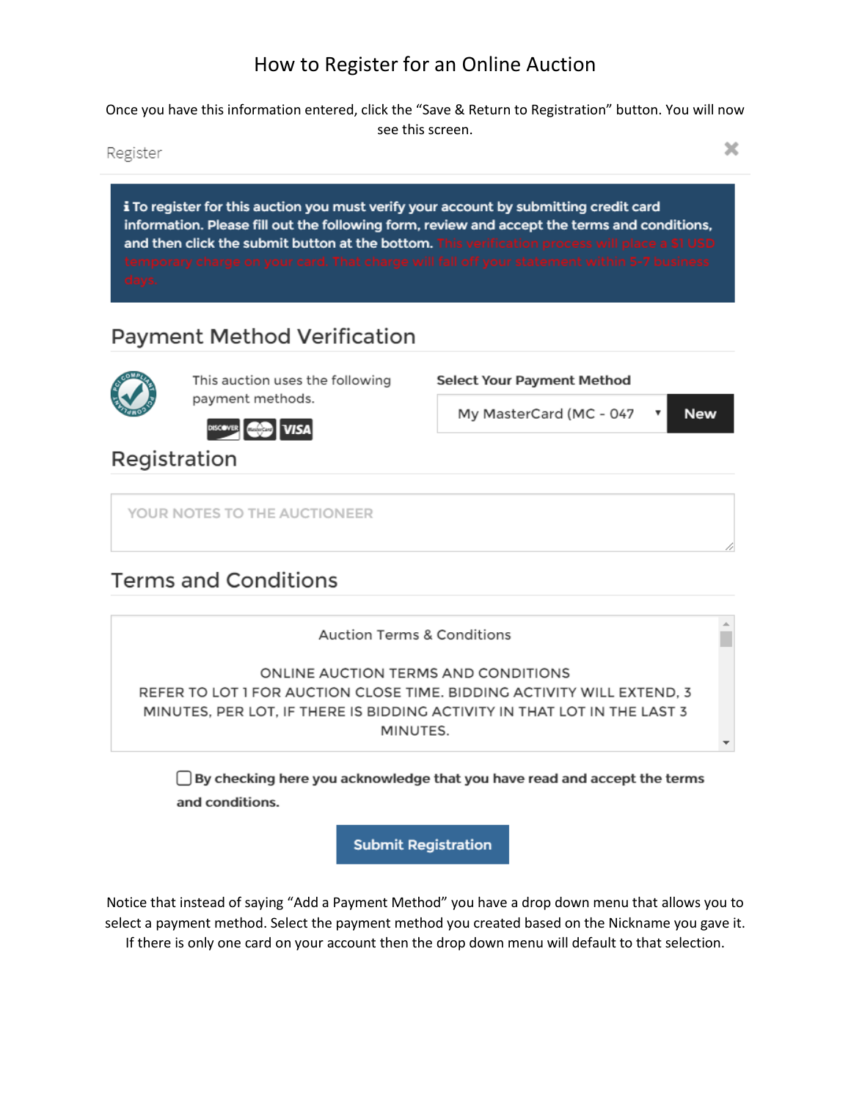Once you have this information entered, click the "Save & Return to Registration" button. You will now see this screen.

Register

i To register for this auction you must verify your account by submitting credit card information. Please fill out the following form, review and accept the terms and conditions, and then click the submit button at the bottom. This verification process will place a \$1 USD

**Select Your Payment Method** 

My MasterCard (MC - 047

## **Payment Method Verification**



This auction uses the following payment methods.

DISCOVER COMP **VISA** 

Registration

YOUR NOTES TO THE AUCTIONEER

## **Terms and Conditions**

**Auction Terms & Conditions** ONLINE AUCTION TERMS AND CONDITIONS REFER TO LOT 1 FOR AUCTION CLOSE TIME. BIDDING ACTIVITY WILL EXTEND, 3 MINUTES, PER LOT, IF THERE IS BIDDING ACTIVITY IN THAT LOT IN THE LAST 3 MINUTES.  $\overline{\phantom{a}}$ 

□ By checking here you acknowledge that you have read and accept the terms and conditions.

**Submit Registration** 

Notice that instead of saying "Add a Payment Method" you have a drop down menu that allows you to select a payment method. Select the payment method you created based on the Nickname you gave it. If there is only one card on your account then the drop down menu will default to that selection.

×

**New**